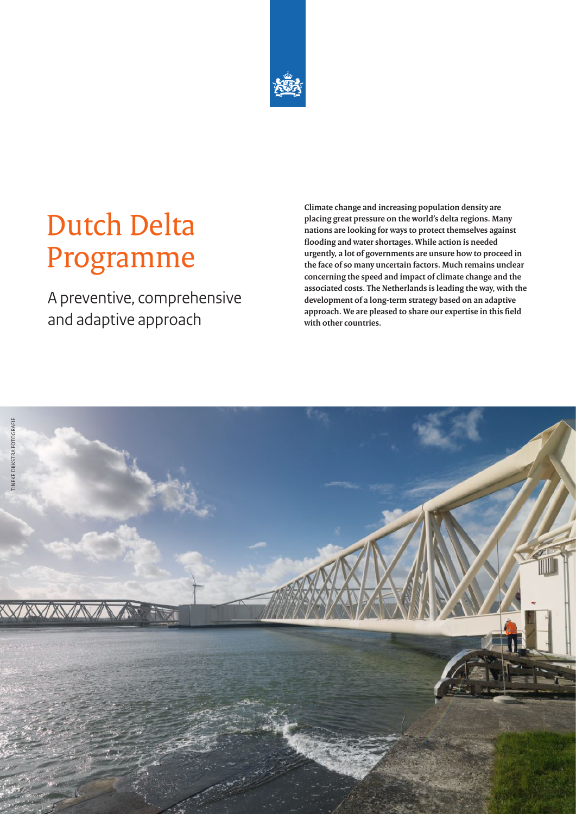

# Dutch Delta Programme

A preventive, comprehensive and adaptive approach

**Climate change and increasing population density are placing great pressure on the world's delta regions. Many nations are looking for ways to protect themselves against flooding and water shortages. While action is needed urgently, a lot of governments are unsure how to proceed in the face of so many uncertain factors. Much remains unclear concerning the speed and impact of climate change and the associated costs. The Netherlands is leading the way, with the development of a long-term strategy based on an adaptive approach. We are pleased to share our expertise in this field with other countries.**

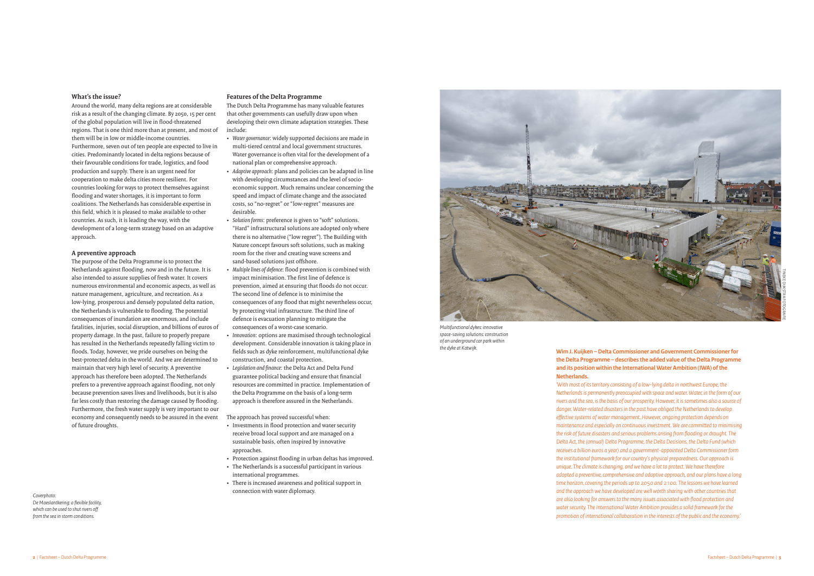# **What's the issue?**

Around the world, many delta regions are at considerable risk as a result of the changing climate. By 2050, 15 per cent of the global population will live in flood-threatened regions. That is one third more than at present, and most of them will be in low or middle-income countries. Furthermore, seven out of ten people are expected to live in cities. Predominantly located in delta regions because of their favourable conditions for trade, logistics, and food production and supply. There is an urgent need for cooperation to make delta cities more resilient. For countries looking for ways to protect themselves against flooding and water shortages, it is important to form coalitions. The Netherlands has considerable expertise in this field, which it is pleased to make available to other countries. As such, it is leading the way, with the development of a long-term strategy based on an adaptive approach.

### **A preventive approach**

The purpose of the Delta Programme is to protect the Netherlands against flooding, now and in the future. It is also intended to assure supplies of fresh water. It covers numerous environmental and economic aspects, as well as nature management, agriculture, and recreation. As a low-lying, prosperous and densely populated delta nation, the Netherlands is vulnerable to flooding. The potential consequences of inundation are enormous, and include fatalities, injuries, social disruption, and billions of euros of property damage. In the past, failure to properly prepare has resulted in the Netherlands repeatedly falling victim to floods. Today, however, we pride ourselves on being the best-protected delta in the world. And we are determined to maintain that very high level of security. A preventive approach has therefore been adopted. The Netherlands prefers to a preventive approach against flooding, not only because prevention saves lives and livelihoods, but it is also far less costly than restoring the damage caused by flooding. Furthermore, the fresh water supply is very important to our economy and consequently needs to be assured in the event of future droughts.

# **Features of the Delta Programme**

The Dutch Delta Programme has many valuable features that other governments can usefully draw upon when developing their own climate adaptation strategies. These include:

- • *Water governance*: widely supported decisions are made in multi-tiered central and local government structures. Water governance is often vital for the development of a national plan or comprehensive approach.
- • *Adaptive approach*: plans and policies can be adapted in line with developing circumstances and the level of socioeconomic support. Much remains unclear concerning the speed and impact of climate change and the associated costs, so "no-regret" or "low-regret" measures are desirable.
- • *Solution forms*: preference is given to "soft" solutions. "Hard" infrastructural solutions are adopted only where there is no alternative ("low regret"). The Building with Nature concept favours soft solutions, such as making room for the river and creating wave screens and sand-based solutions just offshore.
- • *Multiple lines of defence*: flood prevention is combined with impact minimisation. The first line of defence is prevention, aimed at ensuring that floods do not occur. The second line of defence is to minimise the consequences of any flood that might nevertheless occur, by protecting vital infrastructure. The third line of defence is evacuation planning to mitigate the consequences of a worst-case scenario.
- • *Innovation*: options are maximised through technological development. Considerable innovation is taking place in fields such as dyke reinforcement, multifunctional dyke construction, and coastal protection.
- • *Legislation and finance*: the Delta Act and Delta Fund guarantee political backing and ensure that financial resources are committed in practice. Implementation of the Delta Programme on the basis of a long-term approach is therefore assured in the Netherlands.

The approach has proved successful when:

- • Investments in flood protection and water security receive broad local support and are managed on a sustainable basis, often inspired by innovative approaches.
- • Protection against flooding in urban deltas has improved.
- The Netherlands is a successful participant in various international programmes.
- There is increased awareness and political support in connection with water diplomacy.



# **Wim J. Kuijken – Delta Commissioner and Government Commissioner for the Delta Programme – describes the added value of the Delta Programme and its position within the International Water Ambition (IWA) of the**

**Netherlands.**

*'With most of its territory consisting of a low-lying delta in northwest Europe, the Netherlands is permanently preoccupied with space and water. Water, in the form of our rivers and the sea, is the basis of our prosperity. However, it is sometimes also a source of danger. Water-related disasters in the past have obliged the Netherlands to develop effective systems of water management. However, ongoing protection depends on maintenance and especially on continuous investment. We are committed to minimising the risk of future disasters and serious problems arising from flooding or drought. The Delta Act, the (annual) Delta Programme, the Delta Decisions, the Delta Fund (which receives a billion euros a year) and a government-appointed Delta Commissioner form the institutional framework for our country's physical preparedness. Our approach is unique. The climate is changing, and we have a lot to protect. We have therefore adopted a preventive, comprehensive and adaptive approach, and our plans have a long time horizon, covering the periods up to 2050 and 2100. The lessons we have learned and the approach we have developed are well worth sharing with other countries that are also looking for answers to the many issues associated with flood protection and water security. The International Water Ambition provides a solid framework for the promotion of international collaboration in the interests of the public and the economy.'*

TINEKE DIJKSTRA FOTOGRAFIE

*Multifunctional dykes: innovative space-saving solutions: construction of an underground car park within the dyke at Katwijk.*

#### *Coverphoto: De Maeslantkering: a flexible facility, which can be used to shut rivers off from the sea in storm conditions.*